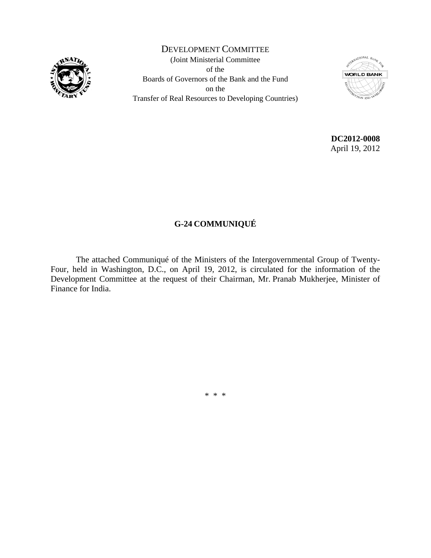

DEVELOPMENT COMMITTEE (Joint Ministerial Committee of the Boards of Governors of the Bank and the Fund on the Transfer of Real Resources to Developing Countries)



**DC2012-0008**  April 19, 2012

# **G-24 COMMUNIQUÉ**

The attached Communiqué of the Ministers of the Intergovernmental Group of Twenty-Four, held in Washington, D.C., on April 19, 2012, is circulated for the information of the Development Committee at the request of their Chairman, Mr. Pranab Mukherjee, Minister of Finance for India.

\* \* \*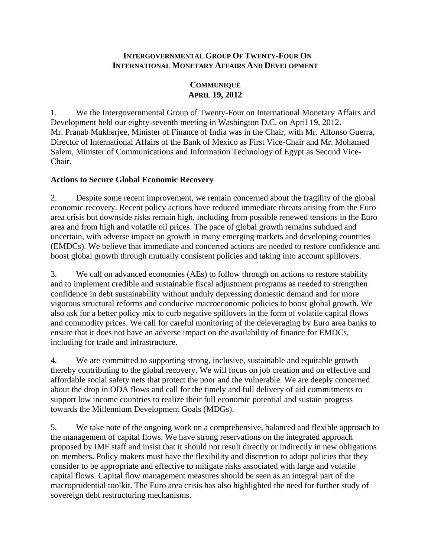#### **INTERGOVERNMENTAL GROUP OF TWENTY-FOUR ON INTERNATIONAL MONETARY AFFAIRS AND DEVELOPMENT**

# **COMMUNIQUÉ APRIL 19, 2012**

1. We the Intergovernmental Group of Twenty-Four on International Monetary Affairs and Development held our eighty-seventh meeting in Washington D.C. on April 19, 2012. Mr. Pranab Mukherjee, Minister of Finance of India was in the Chair, with Mr. Alfonso Guerra, Director of International Affairs of the Bank of Mexico as First Vice-Chair and Mr. Mohamed Salem, Minister of Communications and Information Technology of Egypt as Second Vice-Chair.

## **Actions to Secure Global Economic Recovery**

2. Despite some recent improvement, we remain concerned about the fragility of the global economic recovery. Recent policy actions have reduced immediate threats arising from the Euro area crisis but downside risks remain high, including from possible renewed tensions in the Euro area and from high and volatile oil prices. The pace of global growth remains subdued and uncertain, with adverse impact on growth in many emerging markets and developing countries (EMDCs). We believe that immediate and concerted actions are needed to restore confidence and boost global growth through mutually consistent policies and taking into account spillovers.

3. We call on advanced economies (AEs) to follow through on actions to restore stability and to implement credible and sustainable fiscal adjustment programs as needed to strengthen confidence in debt sustainability without unduly depressing domestic demand and for more vigorous structural reforms and conducive macroeconomic policies to boost global growth. We also ask for a better policy mix to curb negative spillovers in the form of volatile capital flows and commodity prices. We call for careful monitoring of the deleveraging by Euro area banks to ensure that it does not have an adverse impact on the availability of finance for EMDCs, including for trade and infrastructure.

4. We are committed to supporting strong, inclusive, sustainable and equitable growth thereby contributing to the global recovery. We will focus on job creation and on effective and affordable social safety nets that protect the poor and the vulnerable. We are deeply concerned about the drop in ODA flows and call for the timely and full delivery of aid commitments to support low income countries to realize their full economic potential and sustain progress towards the Millennium Development Goals (MDGs).

5. We take note of the ongoing work on a comprehensive, balanced and flexible approach to the management of capital flows. We have strong reservations on the integrated approach proposed by IMF staff and insist that it should not result directly or indirectly in new obligations on members. Policy makers must have the flexibility and discretion to adopt policies that they consider to be appropriate and effective to mitigate risks associated with large and volatile capital flows. Capital flow management measures should be seen as an integral part of the macroprudential toolkit. The Euro area crisis has also highlighted the need for further study of sovereign debt restructuring mechanisms.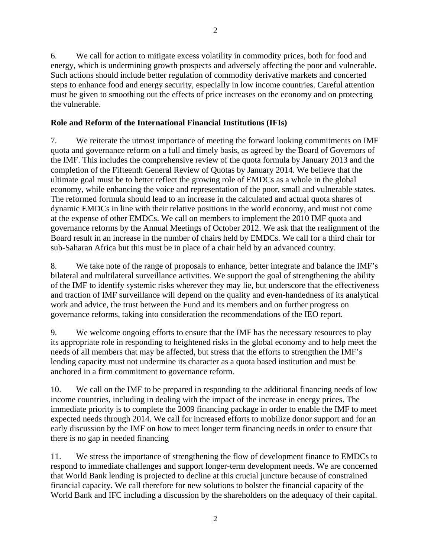6. We call for action to mitigate excess volatility in commodity prices, both for food and energy, which is undermining growth prospects and adversely affecting the poor and vulnerable. Such actions should include better regulation of commodity derivative markets and concerted steps to enhance food and energy security, especially in low income countries. Careful attention must be given to smoothing out the effects of price increases on the economy and on protecting the vulnerable.

## **Role and Reform of the International Financial Institutions (IFIs)**

7. We reiterate the utmost importance of meeting the forward looking commitments on IMF quota and governance reform on a full and timely basis, as agreed by the Board of Governors of the IMF. This includes the comprehensive review of the quota formula by January 2013 and the completion of the Fifteenth General Review of Quotas by January 2014. We believe that the ultimate goal must be to better reflect the growing role of EMDCs as a whole in the global economy, while enhancing the voice and representation of the poor, small and vulnerable states. The reformed formula should lead to an increase in the calculated and actual quota shares of dynamic EMDCs in line with their relative positions in the world economy, and must not come at the expense of other EMDCs. We call on members to implement the 2010 IMF quota and governance reforms by the Annual Meetings of October 2012. We ask that the realignment of the Board result in an increase in the number of chairs held by EMDCs. We call for a third chair for sub-Saharan Africa but this must be in place of a chair held by an advanced country.

8. We take note of the range of proposals to enhance, better integrate and balance the IMF's bilateral and multilateral surveillance activities. We support the goal of strengthening the ability of the IMF to identify systemic risks wherever they may lie, but underscore that the effectiveness and traction of IMF surveillance will depend on the quality and even-handedness of its analytical work and advice, the trust between the Fund and its members and on further progress on governance reforms, taking into consideration the recommendations of the IEO report.

9. We welcome ongoing efforts to ensure that the IMF has the necessary resources to play its appropriate role in responding to heightened risks in the global economy and to help meet the needs of all members that may be affected, but stress that the efforts to strengthen the IMF's lending capacity must not undermine its character as a quota based institution and must be anchored in a firm commitment to governance reform.

10. We call on the IMF to be prepared in responding to the additional financing needs of low income countries, including in dealing with the impact of the increase in energy prices. The immediate priority is to complete the 2009 financing package in order to enable the IMF to meet expected needs through 2014. We call for increased efforts to mobilize donor support and for an early discussion by the IMF on how to meet longer term financing needs in order to ensure that there is no gap in needed financing

11. We stress the importance of strengthening the flow of development finance to EMDCs to respond to immediate challenges and support longer-term development needs. We are concerned that World Bank lending is projected to decline at this crucial juncture because of constrained financial capacity. We call therefore for new solutions to bolster the financial capacity of the World Bank and IFC including a discussion by the shareholders on the adequacy of their capital.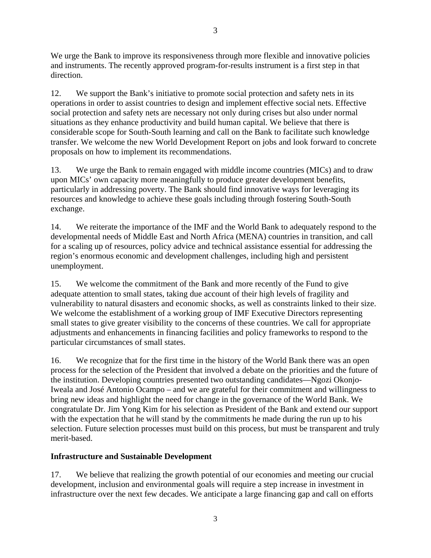We urge the Bank to improve its responsiveness through more flexible and innovative policies and instruments. The recently approved program-for-results instrument is a first step in that direction.

12. We support the Bank's initiative to promote social protection and safety nets in its operations in order to assist countries to design and implement effective social nets. Effective social protection and safety nets are necessary not only during crises but also under normal situations as they enhance productivity and build human capital. We believe that there is considerable scope for South-South learning and call on the Bank to facilitate such knowledge transfer. We welcome the new World Development Report on jobs and look forward to concrete proposals on how to implement its recommendations.

13. We urge the Bank to remain engaged with middle income countries (MICs) and to draw upon MICs' own capacity more meaningfully to produce greater development benefits, particularly in addressing poverty. The Bank should find innovative ways for leveraging its resources and knowledge to achieve these goals including through fostering South-South exchange.

14. We reiterate the importance of the IMF and the World Bank to adequately respond to the developmental needs of Middle East and North Africa (MENA) countries in transition, and call for a scaling up of resources, policy advice and technical assistance essential for addressing the region's enormous economic and development challenges, including high and persistent unemployment.

15. We welcome the commitment of the Bank and more recently of the Fund to give adequate attention to small states, taking due account of their high levels of fragility and vulnerability to natural disasters and economic shocks, as well as constraints linked to their size. We welcome the establishment of a working group of IMF Executive Directors representing small states to give greater visibility to the concerns of these countries. We call for appropriate adjustments and enhancements in financing facilities and policy frameworks to respond to the particular circumstances of small states.

16. We recognize that for the first time in the history of the World Bank there was an open process for the selection of the President that involved a debate on the priorities and the future of the institution. Developing countries presented two outstanding candidates—Ngozi Okonjo-Iweala and José Antonio Ocampo – and we are grateful for their commitment and willingness to bring new ideas and highlight the need for change in the governance of the World Bank. We congratulate Dr. Jim Yong Kim for his selection as President of the Bank and extend our support with the expectation that he will stand by the commitments he made during the run up to his selection. Future selection processes must build on this process, but must be transparent and truly merit-based.

#### **Infrastructure and Sustainable Development**

17. We believe that realizing the growth potential of our economies and meeting our crucial development, inclusion and environmental goals will require a step increase in investment in infrastructure over the next few decades. We anticipate a large financing gap and call on efforts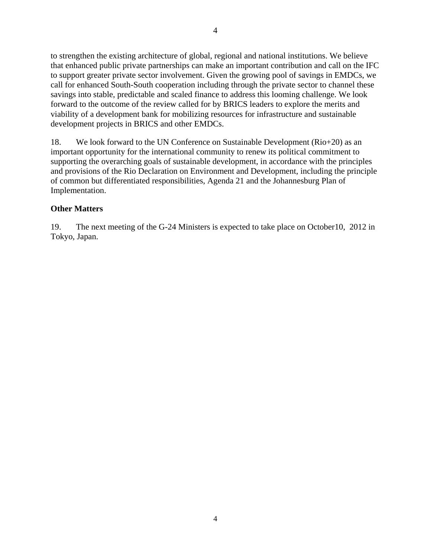to strengthen the existing architecture of global, regional and national institutions. We believe that enhanced public private partnerships can make an important contribution and call on the IFC to support greater private sector involvement. Given the growing pool of savings in EMDCs, we call for enhanced South-South cooperation including through the private sector to channel these savings into stable, predictable and scaled finance to address this looming challenge. We look forward to the outcome of the review called for by BRICS leaders to explore the merits and viability of a development bank for mobilizing resources for infrastructure and sustainable development projects in BRICS and other EMDCs.

18. We look forward to the UN Conference on Sustainable Development (Rio+20) as an important opportunity for the international community to renew its political commitment to supporting the overarching goals of sustainable development, in accordance with the principles and provisions of the Rio Declaration on Environment and Development, including the principle of common but differentiated responsibilities, Agenda 21 and the Johannesburg Plan of Implementation.

## **Other Matters**

19. The next meeting of the G-24 Ministers is expected to take place on October10, 2012 in Tokyo, Japan.